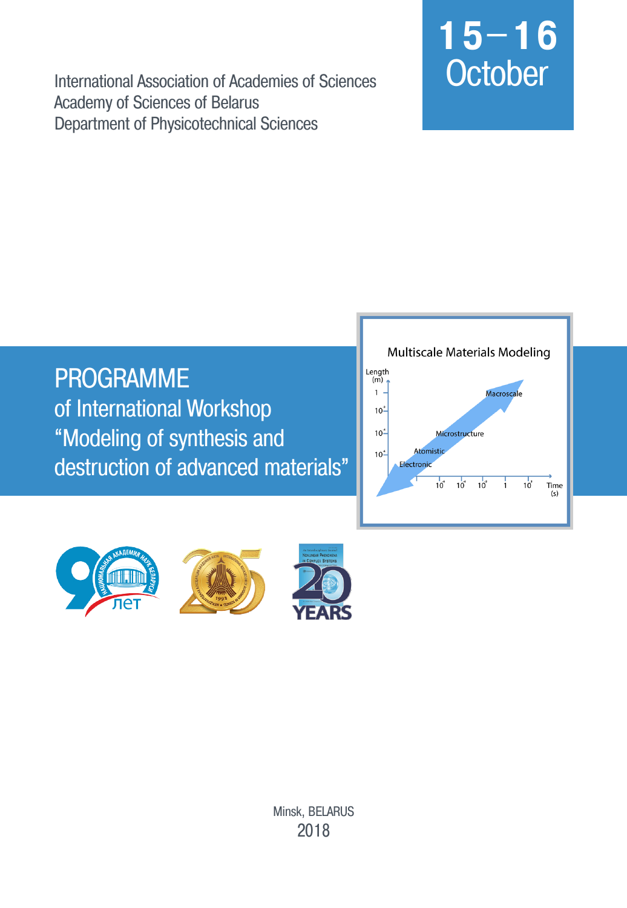International Association of Academies of Sciences **Academy of Sciences of Belarus** Department of Physicotechnical Sciences

# $15 - 16$ October

**PROGRAMME** of International Workshop "Modeling of synthesis and destruction of advanced materials"





Minsk, BELARUS 2018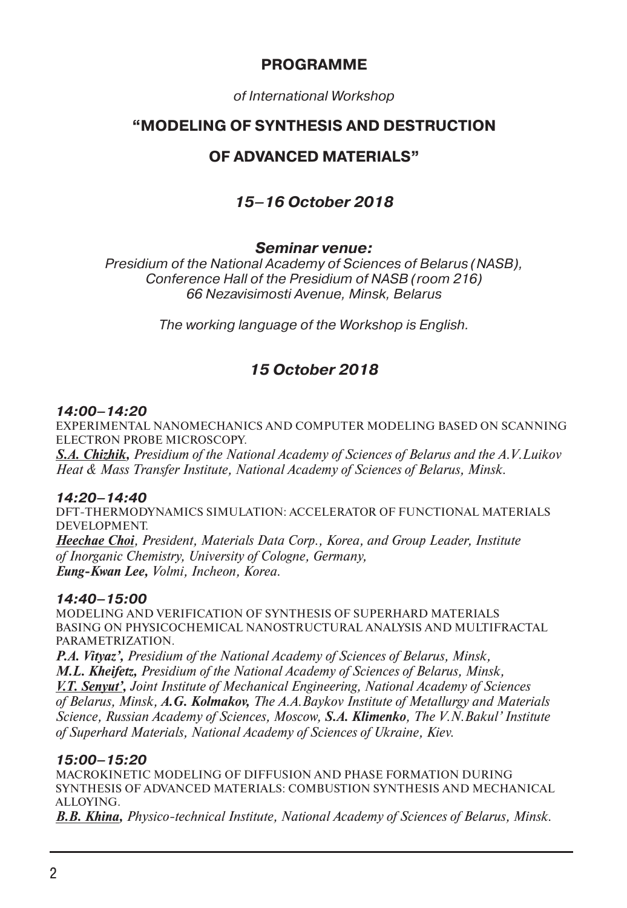## **PROGRAMME**

*of International Workshop*

## **"MODELING OF SYNTHESIS AND DESTRUCTION**

# **OF ADVANCED MATERIALS"**

# *15–16 October 2018*

## *Seminar venue:*

*Presidium of the National Academy of Sciences of Belarus (NASB), Conference Hall of the Presidium of NASB (room 216) 66 Nezavisimosti Avenue, Minsk, Belarus*

*The working language of the Workshop is English.*

# *15 October 2018*

#### *14:00–14:20*

EXPERIMENTAL NANOMECHANICS AND COMPUTER MODELING BASED ON SCANNING ELECTRON PROBE MICROSCOPY.

*S.A. Chizhik, Presidium of the National Academy of Sciences of Belarus and the A.V.Luikov Heat & Mass Transfer Institute, National Academy of Sciences of Belarus, Minsk.*

#### *14:20–14:40*

DFT-THERMODYNAMICS SIMULATION: ACCELERATOR OF FUNCTIONAL MATERIALS DEVELOPMENT.

*Heechae Choi, President, Materials Data Corp., Korea, and Group Leader, Institute of Inorganic Chemistry, University of Cologne, Germany, Eung-Kwan Lee, Volmi, Incheon, Korea.*

#### *14:40–15:00*

MODELING AND VERIFICATION OF SYNTHESIS OF SUPERHARD MATERIALS BASING ON PHYSICOCHEMICAL NANOSTRUCTURAL ANALYSIS AND MULTIFRACTAL PARAMETRIZATION.

*P.A. Vityaz', Presidium of the National Academy of Sciences of Belarus, Minsk, M.L. Kheifetz, Presidium of the National Academy of Sciences of Belarus, Minsk, V.T. Senyut', Joint Institute of Mechanical Engineering, National Academy of Sciences of Belarus, Minsk, A.G. Kolmakov, The A.A.Baykov Institute of Metallurgy and Materials Science, Russian Academy of Sciences, Moscow, S.A. Klimenko, The V.N.Bakul' Institute of Superhard Materials, National Academy of Sciences of Ukraine, Kiev.*

#### *15:00–15:20*

MACROKINETIC MODELING OF DIFFUSION AND PHASE FORMATION DURING SYNTHESIS OF ADVANCED MATERIALS: COMBUSTION SYNTHESIS AND MECHANICAL ALLOYING.

*B.B. Khina, Physico-technical Institute, National Academy of Sciences of Belarus, Minsk.*